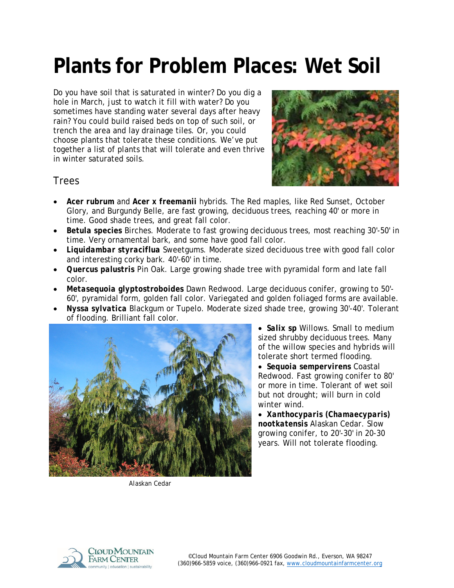# **Plants for Problem Places: Wet Soil**

Do you have soil that is saturated in winter? Do you dig a hole in March, just to watch it fill with water? Do you sometimes have standing water several days after heavy rain? You could build raised beds on top of such soil, or trench the area and lay drainage tiles. Or, you could choose plants that tolerate these conditions. We've put together a list of plants that will tolerate and even thrive in winter saturated soils.



## Trees

- *Acer rubrum* and *Acer x freemanii* hybrids. The Red maples, like Red Sunset, October Glory, and Burgundy Belle, are fast growing, deciduous trees, reaching 40' or more in time. Good shade trees, and great fall color.
- *Betula species* Birches. Moderate to fast growing deciduous trees, most reaching 30'-50' in time. Very ornamental bark, and some have good fall color.
- *Liquidambar styraciflua* Sweetgums. Moderate sized deciduous tree with good fall color and interesting corky bark. 40'-60' in time.
- *Quercus palustris* Pin Oak. Large growing shade tree with pyramidal form and late fall color.
- *Metasequoia glyptostroboides* Dawn Redwood. Large deciduous conifer, growing to 50'- 60', pyramidal form, golden fall color. Variegated and golden foliaged forms are available.
- *Nyssa sylvatica* Blackgum or Tupelo. Moderate sized shade tree, growing 30'-40'. Tolerant of flooding. Brilliant fall color.



- *Salix sp* Willows. Small to medium sized shrubby deciduous trees. Many of the willow species and hybrids will tolerate short termed flooding.
- *Sequoia sempervirens* Coastal Redwood. Fast growing conifer to 80' or more in time. Tolerant of wet soil but not drought; will burn in cold winter wind.
- *Xanthocyparis (Chamaecyparis) nootkatensis* Alaskan Cedar. Slow growing conifer, to 20'-30' in 20-30 years. Will not tolerate flooding.

*Alaskan Cedar*

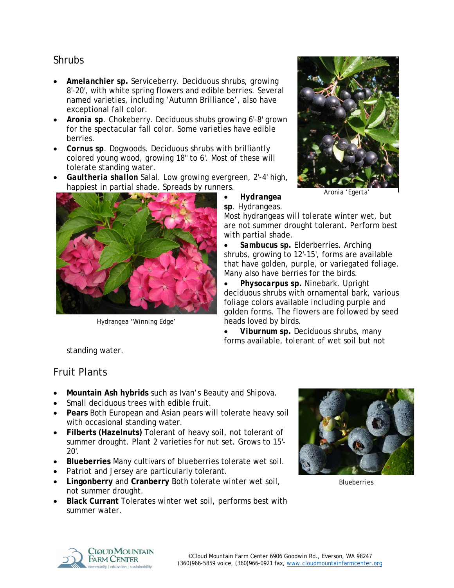## Shrubs

- *Amelanchier sp***.** Serviceberry. Deciduous shrubs, growing 8'-20', with white spring flowers and edible berries. Several named varieties, including 'Autumn Brilliance', also have exceptional fall color.
- *Aronia sp*. Chokeberry. Deciduous shubs growing 6'-8' grown for the spectacular fall color. Some varieties have edible berries.
- *Cornus sp*. Dogwoods. Deciduous shrubs with brilliantly colored young wood, growing 18" to 6'. Most of these will tolerate standing water.
- *Gaultheria shallon* Salal. Low growing evergreen, 2'-4' high, happiest in partial shade. Spreads by runners.



*Hydrangea 'Winning Edge'*



*Aronia 'Egerta'*

• *Hydrangea*  sp. Hydrangeas.

Most hydrangeas will tolerate winter wet, but are not summer drought tolerant. Perform best with partial shade.

• *Sambucus sp.* Elderberries. Arching shrubs, growing to 12'-15', forms are available that have golden, purple, or variegated foliage. Many also have berries for the birds.

• *Physocarpus sp.* Ninebark. Upright deciduous shrubs with ornamental bark, various foliage colors available including purple and golden forms. The flowers are followed by seed heads loved by birds.

• *Viburnum sp.* Deciduous shrubs, many forms available, tolerant of wet soil but not

standing water.

## Fruit Plants

- **Mountain Ash hybrids** such as Ivan's Beauty and Shipova.
- Small deciduous trees with edible fruit.
- **Pears** Both European and Asian pears will tolerate heavy soil with occasional standing water.
- **Filberts (Hazelnuts)** Tolerant of heavy soil, not tolerant of summer drought. Plant 2 varieties for nut set. Grows to 15'-  $20'$ .
- **Blueberries** Many cultivars of blueberries tolerate wet soil.
- Patriot and Jersey are particularly tolerant.
- **Lingonberry** and **Cranberry** Both tolerate winter wet soil, not summer drought.
- **Black Currant** Tolerates winter wet soil, performs best with summer water.



*Blueberries*